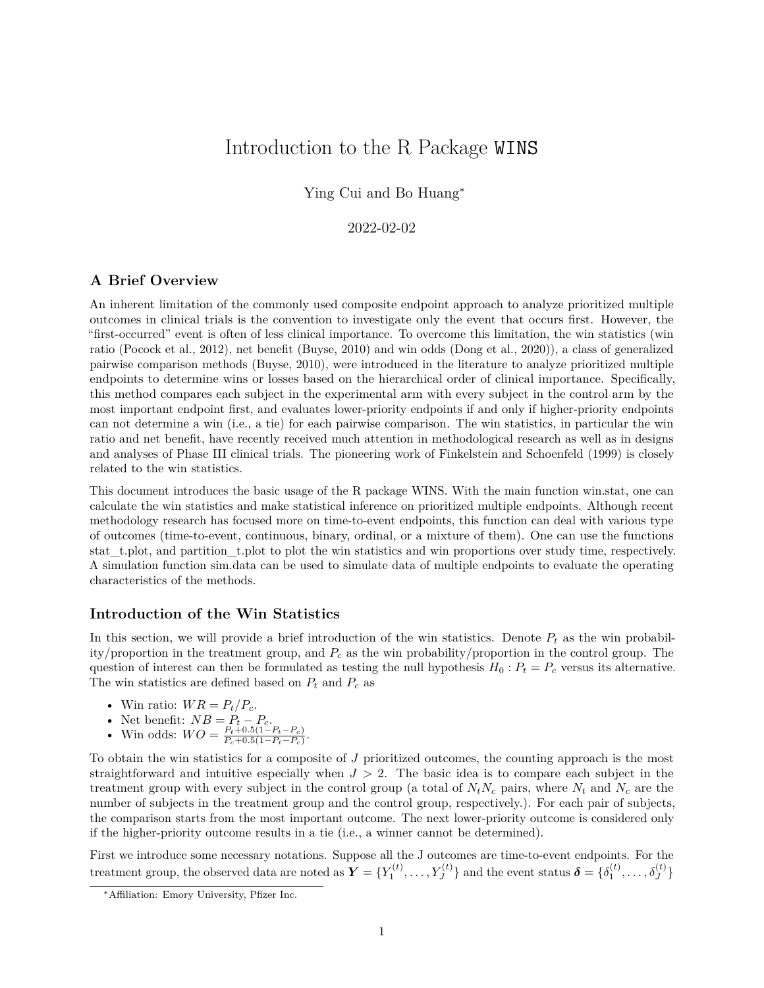# Introduction to the R Package WINS

Ying Cui and Bo Huang<sup>∗</sup>

# 2022-02-02

# **A Brief Overview**

An inherent limitation of the commonly used composite endpoint approach to analyze prioritized multiple outcomes in clinical trials is the convention to investigate only the event that occurs first. However, the "first-occurred" event is often of less clinical importance. To overcome this limitation, the win statistics (win ratio (Pocock et al., 2012), net benefit (Buyse, 2010) and win odds (Dong et al., 2020)), a class of generalized pairwise comparison methods (Buyse, 2010), were introduced in the literature to analyze prioritized multiple endpoints to determine wins or losses based on the hierarchical order of clinical importance. Specifically, this method compares each subject in the experimental arm with every subject in the control arm by the most important endpoint first, and evaluates lower-priority endpoints if and only if higher-priority endpoints can not determine a win (i.e., a tie) for each pairwise comparison. The win statistics, in particular the win ratio and net benefit, have recently received much attention in methodological research as well as in designs and analyses of Phase III clinical trials. The pioneering work of Finkelstein and Schoenfeld (1999) is closely related to the win statistics.

This document introduces the basic usage of the R package WINS. With the main function win.stat, one can calculate the win statistics and make statistical inference on prioritized multiple endpoints. Although recent methodology research has focused more on time-to-event endpoints, this function can deal with various type of outcomes (time-to-event, continuous, binary, ordinal, or a mixture of them). One can use the functions stat t.plot, and partition t.plot to plot the win statistics and win proportions over study time, respectively. A simulation function sim.data can be used to simulate data of multiple endpoints to evaluate the operating characteristics of the methods.

# **Introduction of the Win Statistics**

In this section, we will provide a brief introduction of the win statistics. Denote  $P_t$  as the win probability/proportion in the treatment group, and *P<sup>c</sup>* as the win probability/proportion in the control group. The question of interest can then be formulated as testing the null hypothesis  $H_0: P_t = P_c$  versus its alternative. The win statistics are defined based on  $P_t$  and  $P_c$  as

- Win ratio:  $WR = P_t/P_c$ .
- Net benefit:  $NB = P_t P_c$ .
- Win odds:  $WO = \frac{P_t + 0.5(1 P_t P_c)}{P_t + 0.5(1 P_t P_c)}$  $\frac{P_t+0.5(1-P_t-P_c)}{P_c+0.5(1-P_t-P_c)}$ .

To obtain the win statistics for a composite of *J* prioritized outcomes, the counting approach is the most straightforward and intuitive especially when *J >* 2. The basic idea is to compare each subject in the treatment group with every subject in the control group (a total of  $N_tN_c$  pairs, where  $N_t$  and  $N_c$  are the number of subjects in the treatment group and the control group, respectively.). For each pair of subjects, the comparison starts from the most important outcome. The next lower-priority outcome is considered only if the higher-priority outcome results in a tie (i.e., a winner cannot be determined).

First we introduce some necessary notations. Suppose all the J outcomes are time-to-event endpoints. For the  $\text{treatment group, the observed data are noted as } \boldsymbol{Y} = \{Y_1^{(t)}, \ldots, Y_J^{(t)}\}$  and the event status  $\boldsymbol{\delta} = \{\delta_1^{(t)}, \ldots, \delta_J^{(t)}\}$ 

<sup>∗</sup>Affiliation: Emory University, Pfizer Inc.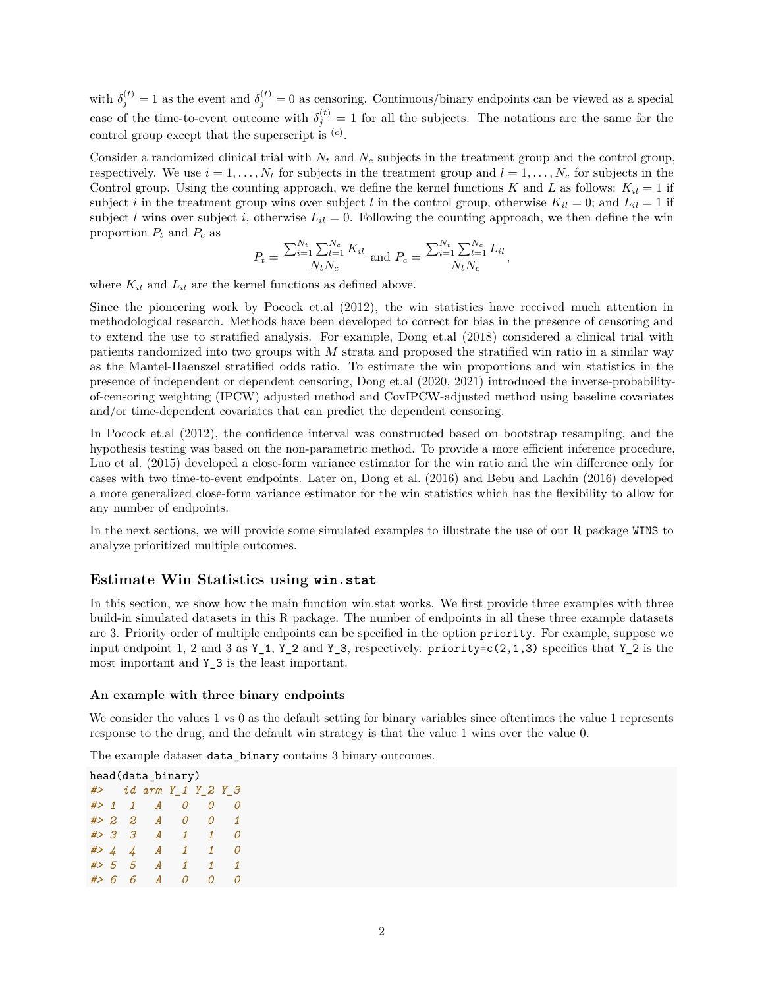with  $\delta_j^{(t)} = 1$  as the event and  $\delta_j^{(t)} = 0$  as censoring. Continuous/binary endpoints can be viewed as a special case of the time-to-event outcome with  $\delta_j^{(t)} = 1$  for all the subjects. The notations are the same for the control group except that the superscript is (*c*) .

Consider a randomized clinical trial with  $N_t$  and  $N_c$  subjects in the treatment group and the control group, respectively. We use  $i = 1, \ldots, N_t$  for subjects in the treatment group and  $l = 1, \ldots, N_c$  for subjects in the Control group. Using the counting approach, we define the kernel functions *K* and *L* as follows:  $K_{il} = 1$  if subject *i* in the treatment group wins over subject *l* in the control group, otherwise  $K_{il} = 0$ ; and  $L_{il} = 1$  if subject *l* wins over subject *i*, otherwise  $L_{il} = 0$ . Following the counting approach, we then define the win proportion  $P_t$  and  $P_c$  as

$$
P_t = \frac{\sum_{i=1}^{N_t} \sum_{l=1}^{N_c} K_{il}}{N_t N_c}
$$
 and 
$$
P_c = \frac{\sum_{i=1}^{N_t} \sum_{l=1}^{N_c} L_{il}}{N_t N_c},
$$

where  $K_{il}$  and  $L_{il}$  are the kernel functions as defined above.

Since the pioneering work by Pocock et.al (2012), the win statistics have received much attention in methodological research. Methods have been developed to correct for bias in the presence of censoring and to extend the use to stratified analysis. For example, Dong et.al (2018) considered a clinical trial with patients randomized into two groups with *M* strata and proposed the stratified win ratio in a similar way as the Mantel-Haenszel stratified odds ratio. To estimate the win proportions and win statistics in the presence of independent or dependent censoring, Dong et.al (2020, 2021) introduced the inverse-probabilityof-censoring weighting (IPCW) adjusted method and CovIPCW-adjusted method using baseline covariates and/or time-dependent covariates that can predict the dependent censoring.

In Pocock et.al (2012), the confidence interval was constructed based on bootstrap resampling, and the hypothesis testing was based on the non-parametric method. To provide a more efficient inference procedure, Luo et al. (2015) developed a close-form variance estimator for the win ratio and the win difference only for cases with two time-to-event endpoints. Later on, Dong et al. (2016) and Bebu and Lachin (2016) developed a more generalized close-form variance estimator for the win statistics which has the flexibility to allow for any number of endpoints.

In the next sections, we will provide some simulated examples to illustrate the use of our R package WINS to analyze prioritized multiple outcomes.

### **Estimate Win Statistics using win.stat**

In this section, we show how the main function win.stat works. We first provide three examples with three build-in simulated datasets in this R package. The number of endpoints in all these three example datasets are 3. Priority order of multiple endpoints can be specified in the option priority. For example, suppose we input endpoint 1, 2 and 3 as  $Y_1, Y_2$  and  $Y_3$ , respectively. priority=c(2,1,3) specifies that  $Y_2$  is the most important and Y\_3 is the least important.

#### **An example with three binary endpoints**

We consider the values 1 vs 0 as the default setting for binary variables since oftentimes the value 1 represents response to the drug, and the default win strategy is that the value 1 wins over the value 0.

The example dataset data\_binary contains 3 binary outcomes.

head(data\_binary) *#> id arm Y\_1 Y\_2 Y\_3 #> 1 1 A 0 0 0 #> 2 2 A 0 0 1 #> 3 3 A 1 1 0 #> 4 4 A 1 1 0 #> 5 5 A 1 1 1 #> 6 6 A 0 0 0*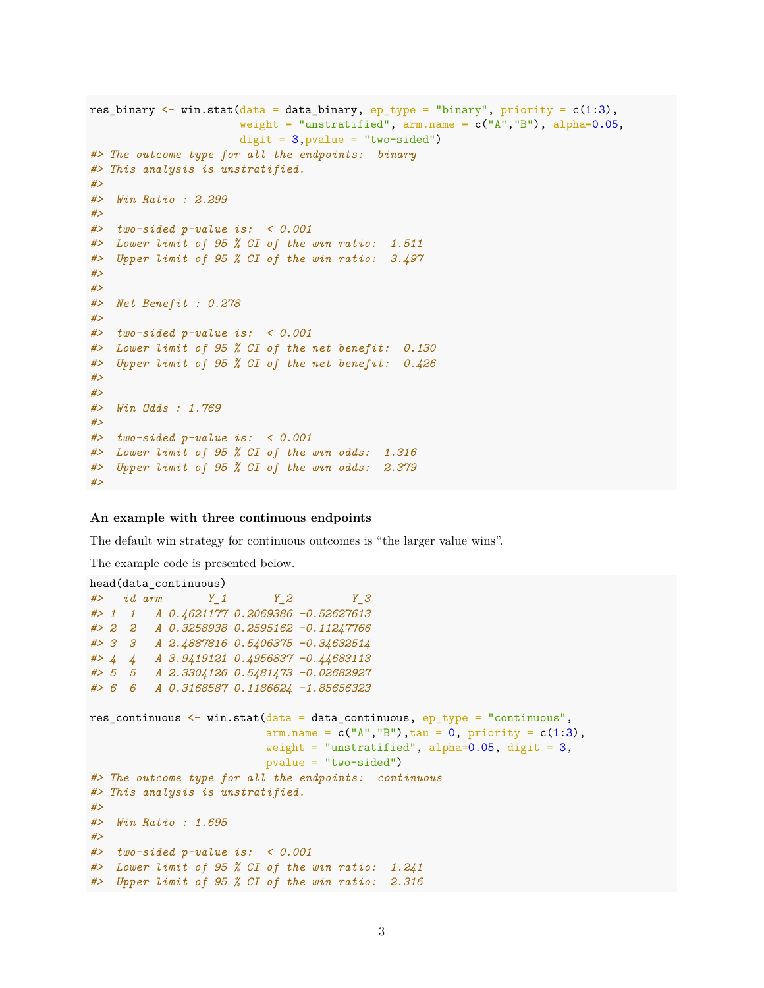```
res_binary \le win.stat(data = data_binary, ep_type = "binary", priority = c(1:3),
                      weight = "unstratified", arm.name = c("A", "B"), alpha=0.05,
                      digit = 3, pvalue = "two-sided")
#> The outcome type for all the endpoints: binary
#> This analysis is unstratified.
#>
#> Win Ratio : 2.299
#>
#> two-sided p-value is: < 0.001
#> Lower limit of 95 % CI of the win ratio: 1.511
#> Upper limit of 95 % CI of the win ratio: 3.497
#>
#>
#> Net Benefit : 0.278
#>
#> two-sided p-value is: < 0.001
#> Lower limit of 95 % CI of the net benefit: 0.130
#> Upper limit of 95 % CI of the net benefit: 0.426
#>
#>
#> Win Odds : 1.769
#>
#> two-sided p-value is: < 0.001
#> Lower limit of 95 % CI of the win odds: 1.316
#> Upper limit of 95 % CI of the win odds: 2.379
#>
```
#### **An example with three continuous endpoints**

The default win strategy for continuous outcomes is "the larger value wins".

```
head(data_continuous)
#> id arm Y_1 Y_2 Y_3
#> 1 1 A 0.4621177 0.2069386 -0.52627613
#> 2 2 A 0.3258938 0.2595162 -0.11247766
#> 3 3 A 2.4887816 0.5406375 -0.34632514
#> 4 4 A 3.9419121 0.4956837 -0.44683113
#> 5 5 A 2.3304126 0.5481473 -0.02682927
#> 6 6 A 0.3168587 0.1186624 -1.85656323
res_continuous \leq win.stat(data = data_continuous, ep_type = "continuous",
                         arm.name = c("A", "B"), tau = 0, priority = c(1:3),
                         weight = "unstratified", alpha=0.05, digit = 3,
                         pvalue = "two-sided")
#> The outcome type for all the endpoints: continuous
#> This analysis is unstratified.
#>
#> Win Ratio : 1.695
#>
#> two-sided p-value is: < 0.001
#> Lower limit of 95 % CI of the win ratio: 1.241
#> Upper limit of 95 % CI of the win ratio: 2.316
```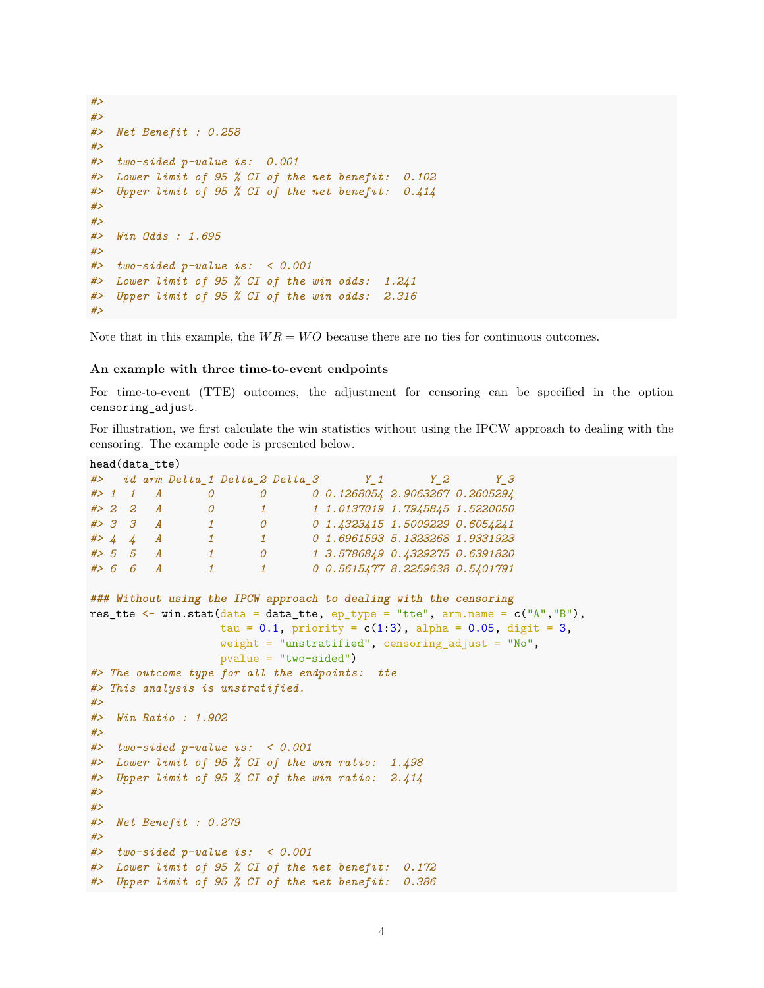```
#>
#>
#> Net Benefit : 0.258
#>
#> two-sided p-value is: 0.001
#> Lower limit of 95 % CI of the net benefit: 0.102
#> Upper limit of 95 % CI of the net benefit: 0.414
#>
#>
#> Win Odds : 1.695
#>
#> two-sided p-value is: < 0.001
#> Lower limit of 95 % CI of the win odds: 1.241
#> Upper limit of 95 % CI of the win odds: 2.316
#>
```
Note that in this example, the  $WR = WO$  because there are no ties for continuous outcomes.

#### **An example with three time-to-event endpoints**

For time-to-event (TTE) outcomes, the adjustment for censoring can be specified in the option censoring\_adjust.

For illustration, we first calculate the win statistics without using the IPCW approach to dealing with the censoring. The example code is presented below.

```
head(data_tte)
#> id arm Delta_1 Delta_2 Delta_3 Y_1 Y_2 Y_3
#> 1 1 A 0 0 0 0.1268054 2.9063267 0.2605294
#> 2 2 A 0 1 1 1.0137019 1.7945845 1.5220050
#> 3 3 A 1 0 0 1.4323415 1.5009229 0.6054241
#> 4 4 A 1 1 0 1.6961593 5.1323268 1.9331923
#> 5 5 A 1 0 1 3.5786849 0.4329275 0.6391820
#> 6 6 A 1 1 0 0.5615477 8.2259638 0.5401791
### Without using the IPCW approach to dealing with the censoring
res_tte <- win.stat(data = data_tte, ep_type = "tte", arm.name = c("A'', "B''),
                 tau = 0.1, priority = c(1:3), alpha = 0.05, digit = 3,
                 weight = "unstratified", censoring_adjust = "No",
                 pvalue = "two-sided")
#> The outcome type for all the endpoints: tte
#> This analysis is unstratified.
#>
#> Win Ratio : 1.902
#>
#> two-sided p-value is: < 0.001
#> Lower limit of 95 % CI of the win ratio: 1.498
#> Upper limit of 95 % CI of the win ratio: 2.414
#>
#>
#> Net Benefit : 0.279
#>
#> two-sided p-value is: < 0.001
#> Lower limit of 95 % CI of the net benefit: 0.172
#> Upper limit of 95 % CI of the net benefit: 0.386
```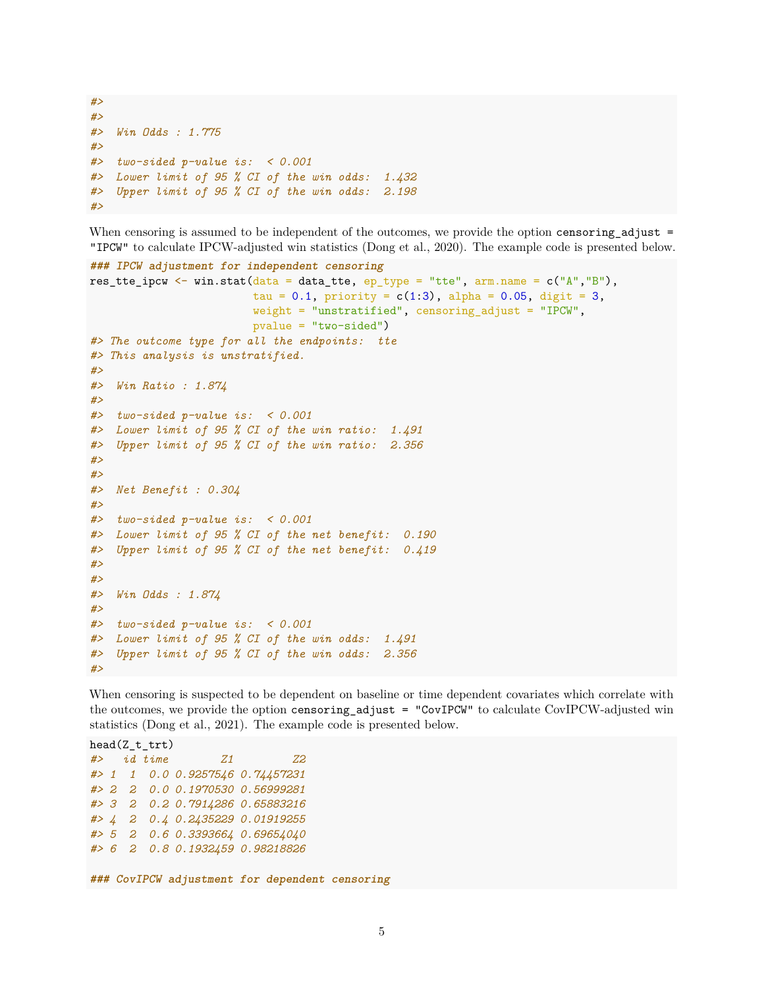```
#>
#>
#> Win Odds : 1.775
#>
#> two-sided p-value is: < 0.001
#> Lower limit of 95 % CI of the win odds: 1.432
#> Upper limit of 95 % CI of the win odds: 2.198
#>
```
When censoring is assumed to be independent of the outcomes, we provide the option censoring\_adjust = "IPCW" to calculate IPCW-adjusted win statistics (Dong et al., 2020). The example code is presented below.

```
### IPCW adjustment for independent censoring
res_tte_ipcw <- win.stat(data = data_tte, ep_type = "tte", arm.name = c("A", "B"),
                         tau = 0.1, priority = c(1:3), alpha = 0.05, digit = 3,
                        weight = "unstratified", censoring_adjust = "IPCW",
                        pvalue = "two-sided")
#> The outcome type for all the endpoints: tte
#> This analysis is unstratified.
#>
#> Win Ratio : 1.874
#>
#> two-sided p-value is: < 0.001
#> Lower limit of 95 % CI of the win ratio: 1.491
#> Upper limit of 95 % CI of the win ratio: 2.356
#>
#>
#> Net Benefit : 0.304
#>
#> two-sided p-value is: < 0.001
#> Lower limit of 95 % CI of the net benefit: 0.190
#> Upper limit of 95 % CI of the net benefit: 0.419
#>
#>
#> Win Odds : 1.874
#>
#> two-sided p-value is: < 0.001
#> Lower limit of 95 % CI of the win odds: 1.491
#> Upper limit of 95 % CI of the win odds: 2.356
#>
```
When censoring is suspected to be dependent on baseline or time dependent covariates which correlate with the outcomes, we provide the option censoring\_adjust = "CovIPCW" to calculate CovIPCW-adjusted win statistics (Dong et al., 2021). The example code is presented below.

head $(Z$ <sub>t</sub> $trt)$ *#> id time Z1 Z2 #> 1 1 0.0 0.9257546 0.74457231 #> 2 2 0.0 0.1970530 0.56999281 #> 3 2 0.2 0.7914286 0.65883216 #> 4 2 0.4 0.2435229 0.01919255 #> 5 2 0.6 0.3393664 0.69654040 #> 6 2 0.8 0.1932459 0.98218826* **### CovIPCW adjustment for dependent censoring**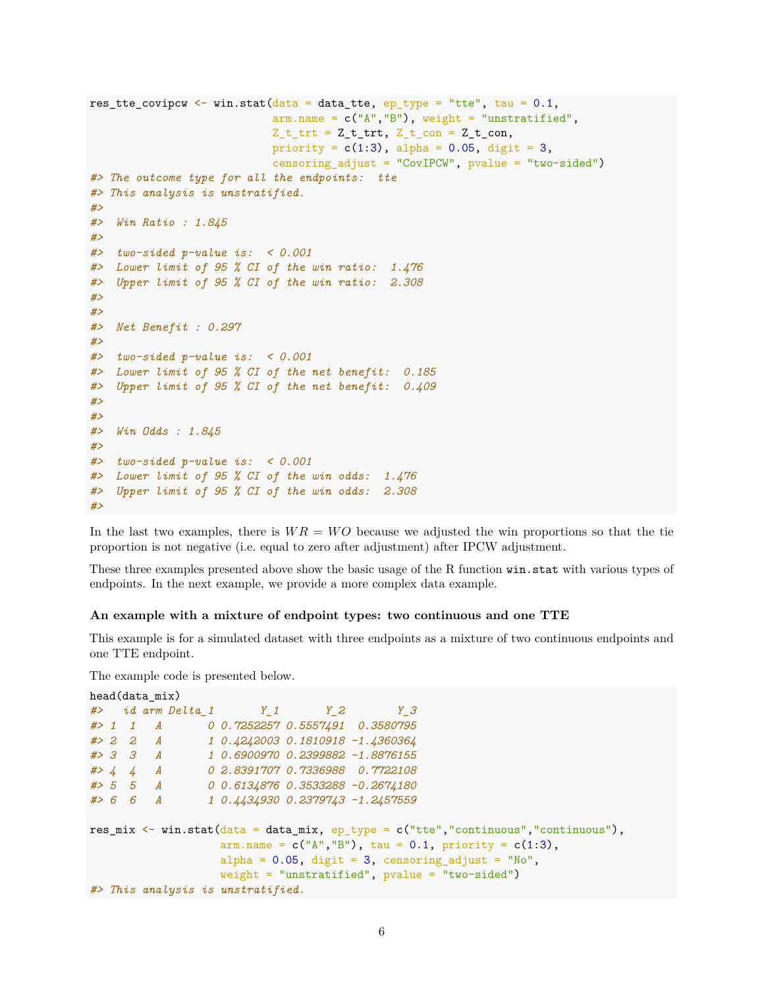```
res_tte_covipcw <- win.stat(data = data_tte, ep_type = "tte", tau = 0.1,
                           arm.name = c("A", "B"), weight = "unstratified",
                           Z_t_t trt = Z_t_t trt, Z_t con = Z_t con,
                           priority = c(1:3), alpha = 0.05, digit = 3,
                           censoring_adjust = "CovIPCW", pvalue = "two-sided")
#> The outcome type for all the endpoints: tte
#> This analysis is unstratified.
#>
#> Win Ratio : 1.845
#>
#> two-sided p-value is: < 0.001
#> Lower limit of 95 % CI of the win ratio: 1.476
#> Upper limit of 95 % CI of the win ratio: 2.308
#>
#>
#> Net Benefit : 0.297
#>
#> two-sided p-value is: < 0.001
#> Lower limit of 95 % CI of the net benefit: 0.185
#> Upper limit of 95 % CI of the net benefit: 0.409
#>
#>
#> Win Odds : 1.845
#>
#> two-sided p-value is: < 0.001
#> Lower limit of 95 % CI of the win odds: 1.476
#> Upper limit of 95 % CI of the win odds: 2.308
#>
```
In the last two examples, there is  $WR = WO$  because we adjusted the win proportions so that the tie proportion is not negative (i.e. equal to zero after adjustment) after IPCW adjustment.

These three examples presented above show the basic usage of the R function win.stat with various types of endpoints. In the next example, we provide a more complex data example.

#### **An example with a mixture of endpoint types: two continuous and one TTE**

This example is for a simulated dataset with three endpoints as a mixture of two continuous endpoints and one TTE endpoint.

```
head(data_mix)
#> id arm Delta_1 Y_1 Y_2 Y_3
#> 1 1 A 0 0.7252257 0.5557491 0.3580795
#> 2 2 A 1 0.4242003 0.1810918 -1.4360364
#> 3 3 A 1 0.6900970 0.2399882 -1.8876155
#> 4 4 A 0 2.8391707 0.7336988 0.7722108
#> 5 5 A 0 0.6134876 0.3533288 -0.2674180
#> 6 6 A 1 0.4434930 0.2379743 -1.2457559
res_mix <- win.stat(data = data_mix, ep_type = c("tte","continuous","continuous"),
                 arm.name = c("A", "B"), tau = 0.1, priority = c(1:3),
                 alpha = 0.05, digit = 3, censoring_adjust = "No",
                 weight = "unstratified", pvalue = "two-sided")
#> This analysis is unstratified.
```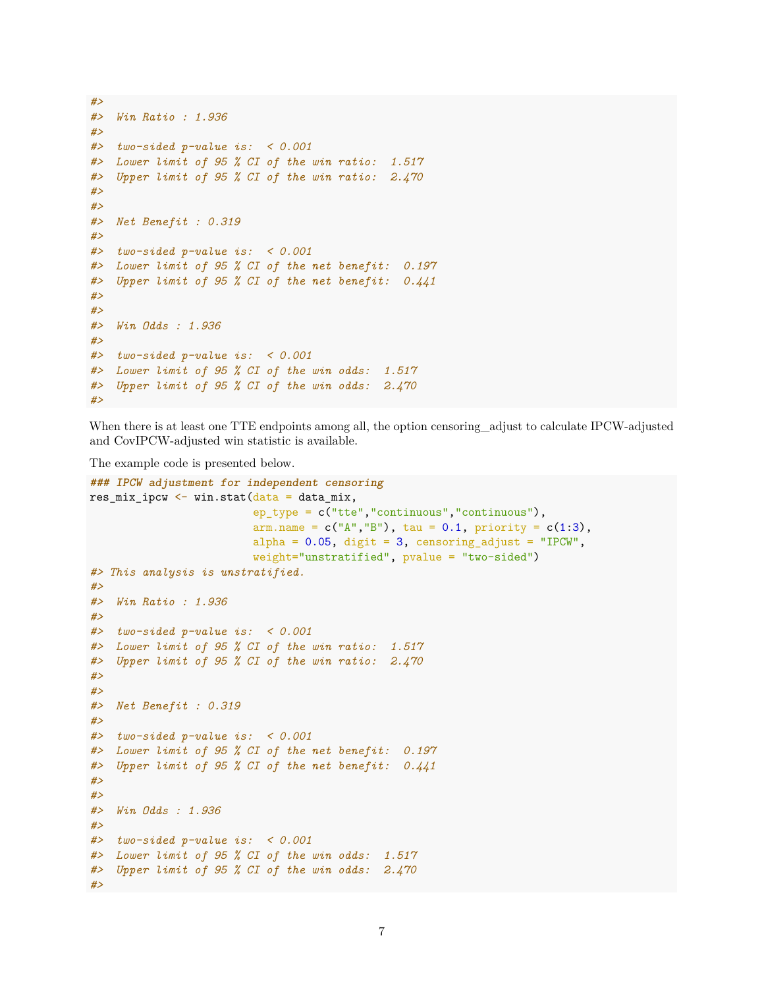```
#>
#> Win Ratio : 1.936
#>
#> two-sided p-value is: < 0.001
#> Lower limit of 95 % CI of the win ratio: 1.517
#> Upper limit of 95 % CI of the win ratio: 2.470
#>
#>
#> Net Benefit : 0.319
#>
#> two-sided p-value is: < 0.001
#> Lower limit of 95 % CI of the net benefit: 0.197
#> Upper limit of 95 % CI of the net benefit: 0.441
#>
#>
#> Win Odds : 1.936
#>
#> two-sided p-value is: < 0.001
#> Lower limit of 95 % CI of the win odds: 1.517
#> Upper limit of 95 % CI of the win odds: 2.470
#>
```
When there is at least one TTE endpoints among all, the option censoring\_adjust to calculate IPCW-adjusted and CovIPCW-adjusted win statistic is available.

```
### IPCW adjustment for independent censoring
res\_mix\_ipcw \leftarrow win.start(data = data\_mix,ep_type = c("tte","continuous","continuous"),
                         arm.name = c("A", "B"), tau = 0.1, priority = c(1:3),
                        alpha = 0.05, digit = 3, censoring_adjust = "IPCW",
                         weight="unstratified", pvalue = "two-sided")
#> This analysis is unstratified.
#>
#> Win Ratio : 1.936
#>
#> two-sided p-value is: < 0.001
#> Lower limit of 95 % CI of the win ratio: 1.517
#> Upper limit of 95 % CI of the win ratio: 2.470
#>
#>
#> Net Benefit : 0.319
#>
#> two-sided p-value is: < 0.001
#> Lower limit of 95 % CI of the net benefit: 0.197
#> Upper limit of 95 % CI of the net benefit: 0.441
#>
#>
#> Win Odds : 1.936
#>
#> two-sided p-value is: < 0.001
#> Lower limit of 95 % CI of the win odds: 1.517
#> Upper limit of 95 % CI of the win odds: 2.470
#>
```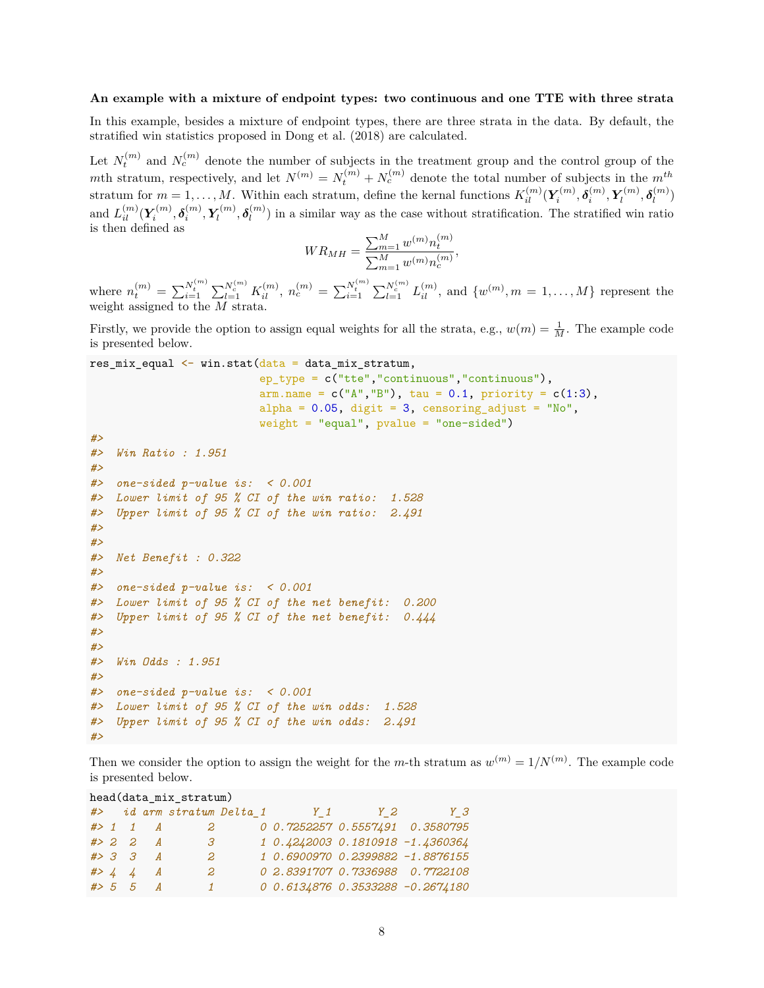#### **An example with a mixture of endpoint types: two continuous and one TTE with three strata**

In this example, besides a mixture of endpoint types, there are three strata in the data. By default, the stratified win statistics proposed in Dong et al. (2018) are calculated.

Let  $N_t^{(m)}$  and  $N_c^{(m)}$  denote the number of subjects in the treatment group and the control group of the *m*th stratum, respectively, and let  $N^{(m)} = N_t^{(m)} + N_c^{(m)}$  denote the total number of subjects in the  $m^{th}$ stratum for  $m = 1, ..., M$ . Within each stratum, define the kernal functions  $K_{il}^{(m)}(\mathbf{Y}_i^{(m)}, \boldsymbol{\delta}_i^{(m)}, \mathbf{Y}_l^{(m)})$  $\delta_l^{(m)}, \delta_l^{(m)}$ *l* ) and  $L_{il}^{(m)}(\boldsymbol{Y}_i^{(m)},\boldsymbol{\delta}_i^{(m)},\boldsymbol{Y}_l^{(m)})$  $\delta_l^{(m)}, \delta_l^{(m)}$  $l_l^{(m)}$ ) in a similar way as the case without stratification. The stratified win ratio is then defined as

$$
WR_{MH} = \frac{\sum_{m=1}^{M} w^{(m)} n_t^{(m)}}{\sum_{m=1}^{M} w^{(m)} n_c^{(m)}},
$$

where  $n_t^{(m)} = \sum_{i=1}^{N_t^{(m)}} \sum_{l=1}^{N_c^{(m)}} K_{il}^{(m)}$ ,  $n_c^{(m)} = \sum_{i=1}^{N_t^{(m)}} \sum_{l=1}^{N_c^{(m)}} L_{il}^{(m)}$ , and  $\{w^{(m)}, m = 1, ..., M\}$  represent the weight assigned to the *M* strata.

Firstly, we provide the option to assign equal weights for all the strata, e.g.,  $w(m) = \frac{1}{M}$ . The example code is presented below.

```
res\_mix\_equal \leftarrow win.start(data = data\_mix\_stratum,
```

```
ep_type = c("tte","continuous","continuous"),
                          arm.name = c("A", "B"), tau = 0.1, priority = c(1:3),
                          alpha = 0.05, digit = 3, censoring_adjust = "No",
                         weight = "equal", pvalue = "one-sided")
#>
#> Win Ratio : 1.951
#>
#> one-sided p-value is: < 0.001
#> Lower limit of 95 % CI of the win ratio: 1.528
#> Upper limit of 95 % CI of the win ratio: 2.491
#>
#>
#> Net Benefit : 0.322
#>
#> one-sided p-value is: < 0.001
#> Lower limit of 95 % CI of the net benefit: 0.200
#> Upper limit of 95 % CI of the net benefit: 0.444
#>
#>
#> Win Odds : 1.951
#>
#> one-sided p-value is: < 0.001
#> Lower limit of 95 % CI of the win odds: 1.528
#> Upper limit of 95 % CI of the win odds: 2.491
#>
```
Then we consider the option to assign the weight for the *m*-th stratum as  $w^{(m)} = 1/N^{(m)}$ . The example code is presented below.

```
head(data_mix_stratum)
#> id arm stratum Delta_1 Y_1 Y_2 Y_3
#> 1 1 A 2 0 0.7252257 0.5557491 0.3580795
#> 2 2 A 3 1 0.4242003 0.1810918 -1.4360364
#> 3 3 A 2 1 0.6900970 0.2399882 -1.8876155
#> 4 4 A 2 0 2.8391707 0.7336988 0.7722108
#> 5 5 A 1 0 0.6134876 0.3533288 -0.2674180
```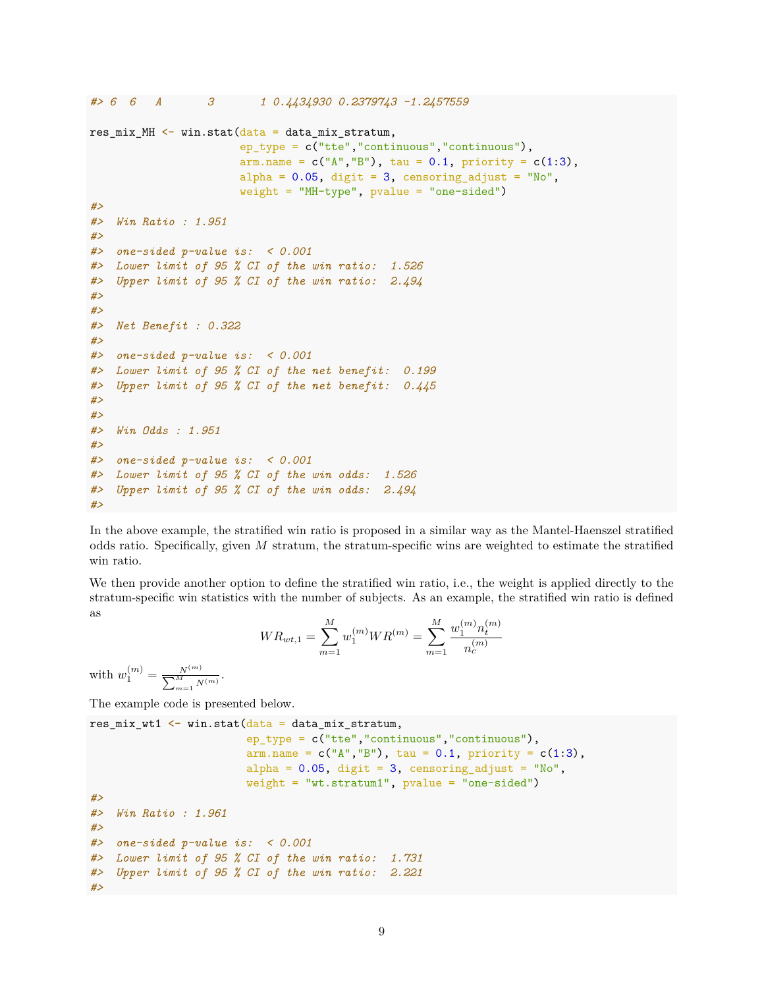```
#> 6 6 A 3 1 0.4434930 0.2379743 -1.2457559
res mix MH \leq win.stat(data = data mix stratum,
                      ep_type = c("tte","continuous","continuous"),
                      arm.name = c("A", "B"), tau = 0.1, priority = c(1:3),
                      alpha = 0.05, digit = 3, censoring_adjust = "No",
                      weight = "MH-type", pvalue = "one-sided")
#>
#> Win Ratio : 1.951
#>
#> one-sided p-value is: < 0.001
#> Lower limit of 95 % CI of the win ratio: 1.526
#> Upper limit of 95 % CI of the win ratio: 2.494
#>
#>
#> Net Benefit : 0.322
#>
#> one-sided p-value is: < 0.001
#> Lower limit of 95 % CI of the net benefit: 0.199
#> Upper limit of 95 % CI of the net benefit: 0.445
#>
#>
#> Win Odds : 1.951
#>
#> one-sided p-value is: < 0.001
#> Lower limit of 95 % CI of the win odds: 1.526
#> Upper limit of 95 % CI of the win odds: 2.494
#>
```
In the above example, the stratified win ratio is proposed in a similar way as the Mantel-Haenszel stratified odds ratio. Specifically, given *M* stratum, the stratum-specific wins are weighted to estimate the stratified win ratio.

We then provide another option to define the stratified win ratio, i.e., the weight is applied directly to the stratum-specific win statistics with the number of subjects. As an example, the stratified win ratio is defined as

$$
WR_{wt,1} = \sum_{m=1}^{M} w_1^{(m)} WR^{(m)} = \sum_{m=1}^{M} \frac{w_1^{(m)} n_t^{(m)}}{n_c^{(m)}}
$$

with  $w_1^{(m)} = \frac{N^{(m)}}{\sum_{\lambda} M}$  $\frac{N^{(m)}}{\sum_{m=1}^{M} N^{(m)}}$ .

```
res mix wt1 \leftarrow win.stat(data = data mix stratum,
                        ep_type = c("tte","continuous","continuous"),
                        arm.name = c("A", "B"), tau = 0.1, priority = c(1:3),
                        alpha = 0.05, digit = 3, censoring_adjust = "No",
                        weight = "wt.stratum1", pvalue = "one-sided")
#>
#> Win Ratio : 1.961
#>
#> one-sided p-value is: < 0.001
#> Lower limit of 95 % CI of the win ratio: 1.731
#> Upper limit of 95 % CI of the win ratio: 2.221
#>
```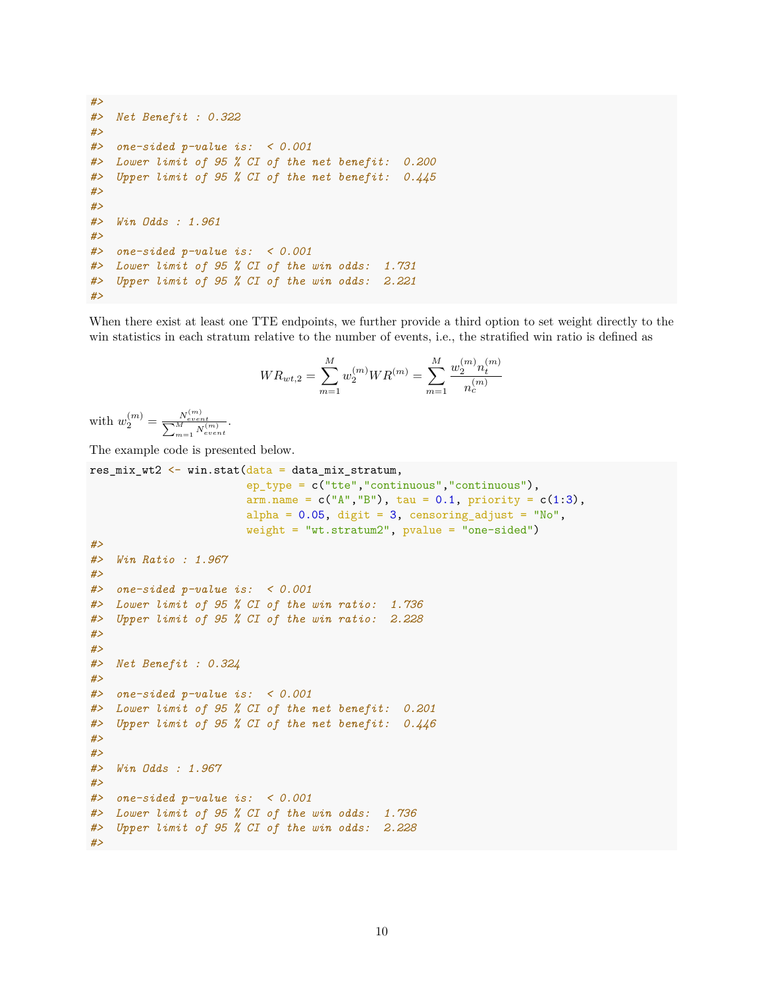```
#>
#> Net Benefit : 0.322
#>
#> one-sided p-value is: < 0.001
#> Lower limit of 95 % CI of the net benefit: 0.200
#> Upper limit of 95 % CI of the net benefit: 0.445
#>
#>
#> Win Odds : 1.961
#>
#> one-sided p-value is: < 0.001
#> Lower limit of 95 % CI of the win odds: 1.731
#> Upper limit of 95 % CI of the win odds: 2.221
#>
```
When there exist at least one TTE endpoints, we further provide a third option to set weight directly to the win statistics in each stratum relative to the number of events, i.e., the stratified win ratio is defined as

$$
WR_{wt,2} = \sum_{m=1}^{M} w_2^{(m)}WR^{(m)} = \sum_{m=1}^{M} \frac{w_2^{(m)}n_t^{(m)}}{n_c^{(m)}}
$$

with  $w_2^{(m)} = \frac{N_{event}^{(m)}}{\sum_{m=1}^{M} N_{event}^{(m)}}$ .

```
res_mix_wt2 \le win.stat(data = data\_mix\_stratum,
                       ep_type = c("tte","continuous","continuous"),
                       arm.name = c("A", "B"), tau = 0.1, priority = c(1:3),
                       alpha = 0.05, digit = 3, censoring_adjust = "No",
                       weight = "wt.stratum2", pvalue = "one-sided")
#>
#> Win Ratio : 1.967
#>
#> one-sided p-value is: < 0.001
#> Lower limit of 95 % CI of the win ratio: 1.736
#> Upper limit of 95 % CI of the win ratio: 2.228
#>
#>
#> Net Benefit : 0.324
#>
#> one-sided p-value is: < 0.001
#> Lower limit of 95 % CI of the net benefit: 0.201
#> Upper limit of 95 % CI of the net benefit: 0.446
#>
#>
#> Win Odds : 1.967
#>
#> one-sided p-value is: < 0.001
#> Lower limit of 95 % CI of the win odds: 1.736
#> Upper limit of 95 % CI of the win odds: 2.228
#>
```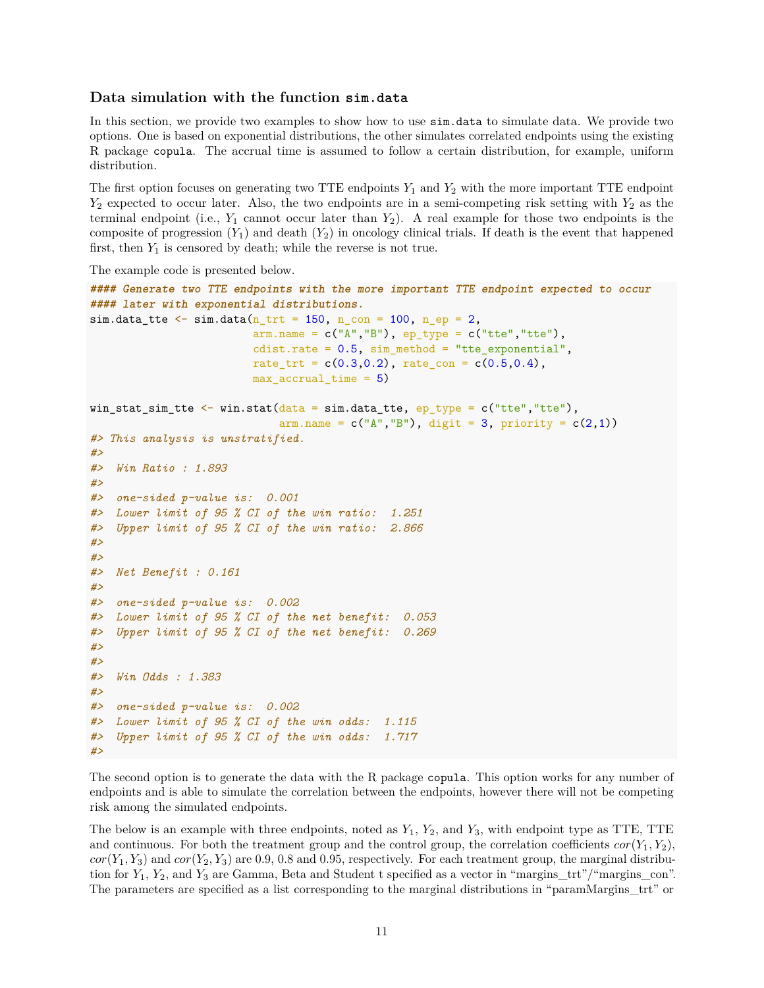### **Data simulation with the function sim.data**

In this section, we provide two examples to show how to use sim.data to simulate data. We provide two options. One is based on exponential distributions, the other simulates correlated endpoints using the existing R package copula. The accrual time is assumed to follow a certain distribution, for example, uniform distribution.

The first option focuses on generating two TTE endpoints *Y*<sup>1</sup> and *Y*<sup>2</sup> with the more important TTE endpoint *Y*<sup>2</sup> expected to occur later. Also, the two endpoints are in a semi-competing risk setting with *Y*<sup>2</sup> as the terminal endpoint (i.e.,  $Y_1$  cannot occur later than  $Y_2$ ). A real example for those two endpoints is the composite of progression  $(Y_1)$  and death  $(Y_2)$  in oncology clinical trials. If death is the event that happened first, then  $Y_1$  is censored by death; while the reverse is not true.

The example code is presented below.

```
#### Generate two TTE endpoints with the more important TTE endpoint expected to occur
#### later with exponential distributions.
sim.data tte \leq sim.data(n trt = 150, n con = 100, n ep = 2,
                         arm.name = c("A", "B"), ep_type = c("tte", "tte"),
                         cdist.rate = 0.5, sim_method = "tte_exponential",
                         rate_trt = c(0.3, 0.2), rate_con = c(0.5, 0.4),
                         max_accrual_time = 5)
win_stat_sim_tte \leq win.stat(data = sim.data_tte, ep_type = c("tte","tte"),
                             arm.name = c("A", "B"), digit = 3, priority = c(2,1))
#> This analysis is unstratified.
#>
#> Win Ratio : 1.893
#>
#> one-sided p-value is: 0.001
#> Lower limit of 95 % CI of the win ratio: 1.251
#> Upper limit of 95 % CI of the win ratio: 2.866
#>
#>
#> Net Benefit : 0.161
#>
#> one-sided p-value is: 0.002
#> Lower limit of 95 % CI of the net benefit: 0.053
#> Upper limit of 95 % CI of the net benefit: 0.269
#>
#>
#> Win Odds : 1.383
#>
#> one-sided p-value is: 0.002
#> Lower limit of 95 % CI of the win odds: 1.115
#> Upper limit of 95 % CI of the win odds: 1.717
#>
```
The second option is to generate the data with the R package copula. This option works for any number of endpoints and is able to simulate the correlation between the endpoints, however there will not be competing risk among the simulated endpoints.

The below is an example with three endpoints, noted as *Y*1, *Y*2, and *Y*3, with endpoint type as TTE, TTE and continuous. For both the treatment group and the control group, the correlation coefficients  $cor(Y_1, Y_2)$ ,  $cor(Y_1, Y_3)$  and  $cor(Y_2, Y_3)$  are 0.9, 0.8 and 0.95, respectively. For each treatment group, the marginal distribution for *Y*1, *Y*2, and *Y*<sup>3</sup> are Gamma, Beta and Student t specified as a vector in "margins\_trt"/"margins\_con". The parameters are specified as a list corresponding to the marginal distributions in "paramMargins\_trt" or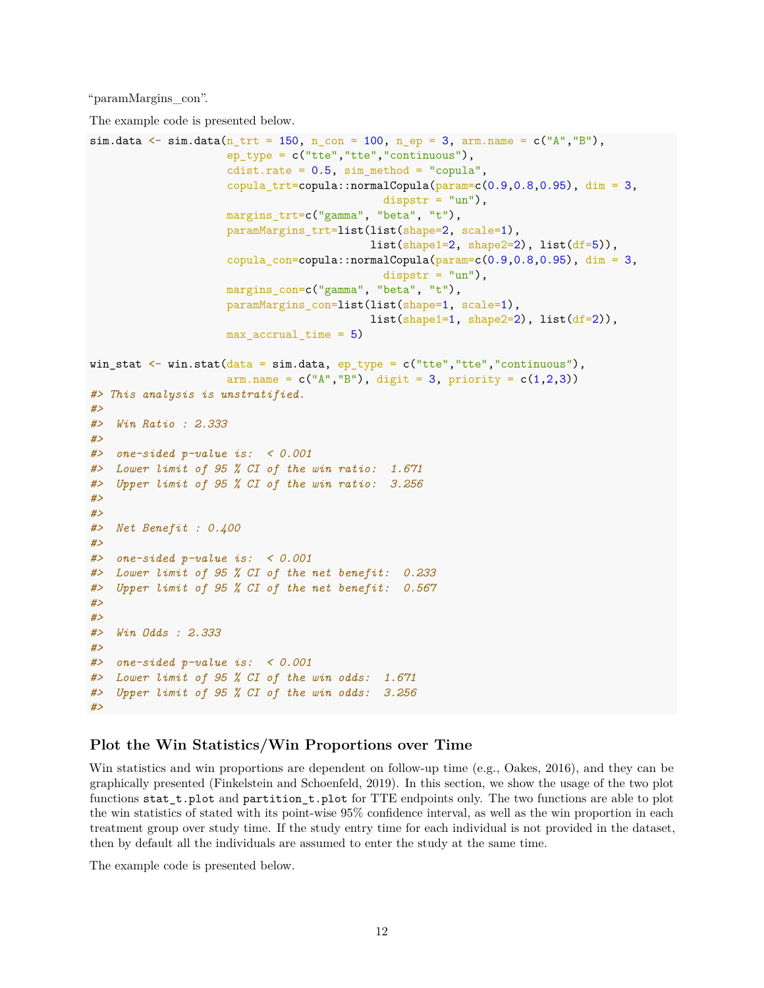"paramMargins\_con".

The example code is presented below.

```
sim.data \leq sim.data(n_{\text{at}} = 150, n_{\text{con}} = 100, n_{\text{e}} = 3, arm.name = c("A","B"),
                     ep_type = c("tte","tte","continuous"),
                     cdist.rate = 0.5, sim\_method = "copula",copula_trt=copula::normalCopula(param=c(0.9,0.8,0.95), dim = 3,dispstr = "un"),
                     margins_trt=c("gamma", "beta", "t"),
                     paramMargins_trt=list(list(shape=2, scale=1),
                                           list(shape1=2, shape2=2), list(df=5)),copula\_con=copula::normalCopula(param=c(0.9,0.8,0.95), dim = 3,dispstr = "un"),
                     margins_con=c("gamma", "beta", "t"),
                     paramMargins_con=list(list(shape=1, scale=1),
                                           list(shape1=1, shape2=2), list(df=2)),max_accrual_time = 5)
win_stat \leq win.stat(data = sim.data, ep_type = c("tte","tte","continuous"),
                     arm.name = c("A", "B"), digit = 3, priority = c(1,2,3))
#> This analysis is unstratified.
#>
#> Win Ratio : 2.333
#>
#> one-sided p-value is: < 0.001
#> Lower limit of 95 % CI of the win ratio: 1.671
#> Upper limit of 95 % CI of the win ratio: 3.256
#>
#>
#> Net Benefit : 0.400
#>
#> one-sided p-value is: < 0.001
#> Lower limit of 95 % CI of the net benefit: 0.233
#> Upper limit of 95 % CI of the net benefit: 0.567
#>
#>
#> Win Odds : 2.333
#>
#> one-sided p-value is: < 0.001
#> Lower limit of 95 % CI of the win odds: 1.671
#> Upper limit of 95 % CI of the win odds: 3.256
#>
```
# **Plot the Win Statistics/Win Proportions over Time**

Win statistics and win proportions are dependent on follow-up time (e.g., Oakes, 2016), and they can be graphically presented (Finkelstein and Schoenfeld, 2019). In this section, we show the usage of the two plot functions stat\_t.plot and partition\_t.plot for TTE endpoints only. The two functions are able to plot the win statistics of stated with its point-wise 95% confidence interval, as well as the win proportion in each treatment group over study time. If the study entry time for each individual is not provided in the dataset, then by default all the individuals are assumed to enter the study at the same time.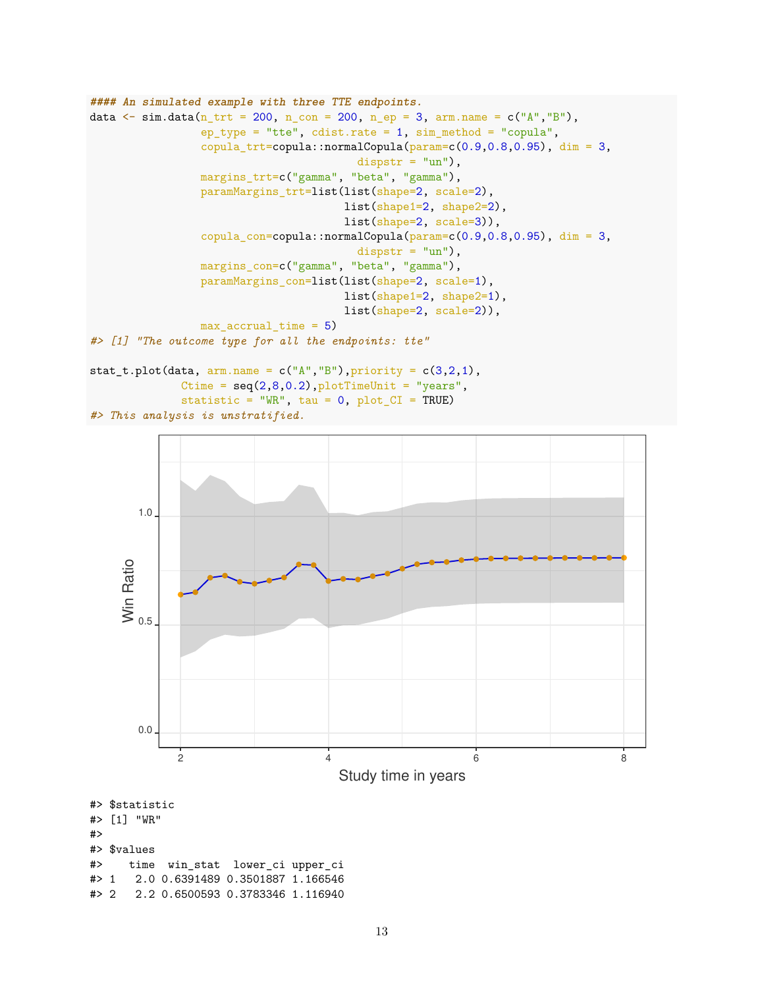```
#### An simulated example with three TTE endpoints.
data \le sim.data(n_trt = 200, n_con = 200, n_ep = 3, arm.name = c("A", "B"),
                 ep_type = "tte", cdist_rate = 1, sim</u>, method = "copula",copula_trt=copula::normalCopula(param=c(0.9,0.8,0.95), dim = 3,
                                         dispstr = "un"),
                 margins_trt=c("gamma", "beta", "gamma"),
                 paramMargins_trt=list(list(shape=2, scale=2),
                                       list(shape1=2, shape2=2),
                                       list(shape=2, scale=3)),
                 copula_con=copula::normalCopula(param=c(0.9,0.8,0.95), dim = 3,
                                         dispstr = "un"),
                 margins_con=c("gamma", "beta", "gamma"),
                 paramMargins_con=list(list(shape=2, scale=1),
                                       list(shape1=2, shape2=1),
                                       list(shape=2, scale=2)),
                 max_accrual_time = 5)
#> [1] "The outcome type for all the endpoints: tte"
stat_t.plot(data, arm.name = c("A", "B"), priority = c(3,2,1),
```

```
Ctime = seq(2,8,0.2), plotTimeUnit = "years",
statistic = "WR", tau = 0, plot_CII = TRUE)
```

```
#> This analysis is unstratified.
```


```
#> 2 2.2 0.6500593 0.3783346 1.116940
```
#>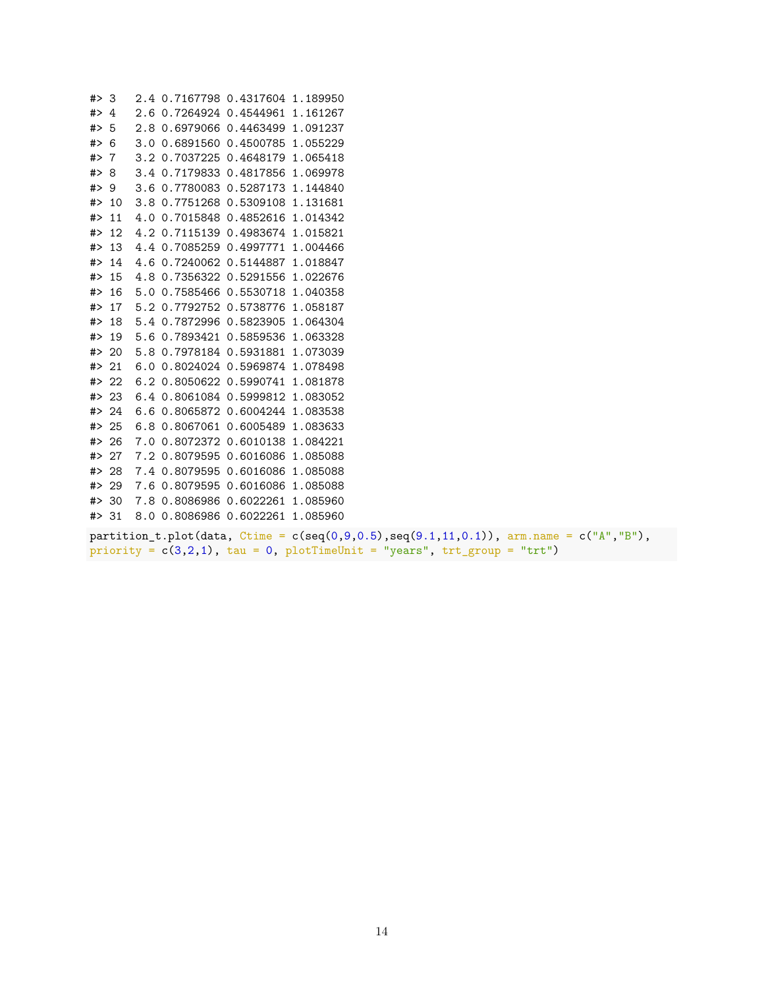#> 3 2.4 0.7167798 0.4317604 1.189950 #> 4 2.6 0.7264924 0.4544961 1.161267 #> 5 2.8 0.6979066 0.4463499 1.091237 #> 6 3.0 0.6891560 0.4500785 1.055229 #> 7 3.2 0.7037225 0.4648179 1.065418 #> 8 3.4 0.7179833 0.4817856 1.069978 #> 9 3.6 0.7780083 0.5287173 1.144840 #> 10 3.8 0.7751268 0.5309108 1.131681 #> 11 4.0 0.7015848 0.4852616 1.014342 #> 12 4.2 0.7115139 0.4983674 1.015821 #> 13 4.4 0.7085259 0.4997771 1.004466 #> 14 4.6 0.7240062 0.5144887 1.018847 #> 15 4.8 0.7356322 0.5291556 1.022676 #> 16 5.0 0.7585466 0.5530718 1.040358 #> 17 5.2 0.7792752 0.5738776 1.058187 #> 18 5.4 0.7872996 0.5823905 1.064304 #> 19 5.6 0.7893421 0.5859536 1.063328 #> 20 5.8 0.7978184 0.5931881 1.073039 #> 21 6.0 0.8024024 0.5969874 1.078498 #> 22 6.2 0.8050622 0.5990741 1.081878 #> 23 6.4 0.8061084 0.5999812 1.083052 #> 24 6.6 0.8065872 0.6004244 1.083538 #> 25 6.8 0.8067061 0.6005489 1.083633 #> 26 7.0 0.8072372 0.6010138 1.084221 #> 27 7.2 0.8079595 0.6016086 1.085088 #> 28 7.4 0.8079595 0.6016086 1.085088 #> 29 7.6 0.8079595 0.6016086 1.085088 #> 30 7.8 0.8086986 0.6022261 1.085960 #> 31 8.0 0.8086986 0.6022261 1.085960

partition\_t.plot(data, Ctime =  $c(seq(0,9,0.5),seq(9.1,11,0.1))$ , arm.name =  $c("A", "B")$ , priority =  $c(3,2,1)$ , tau = 0, plotTimeUnit = "years", trt\_group = "trt")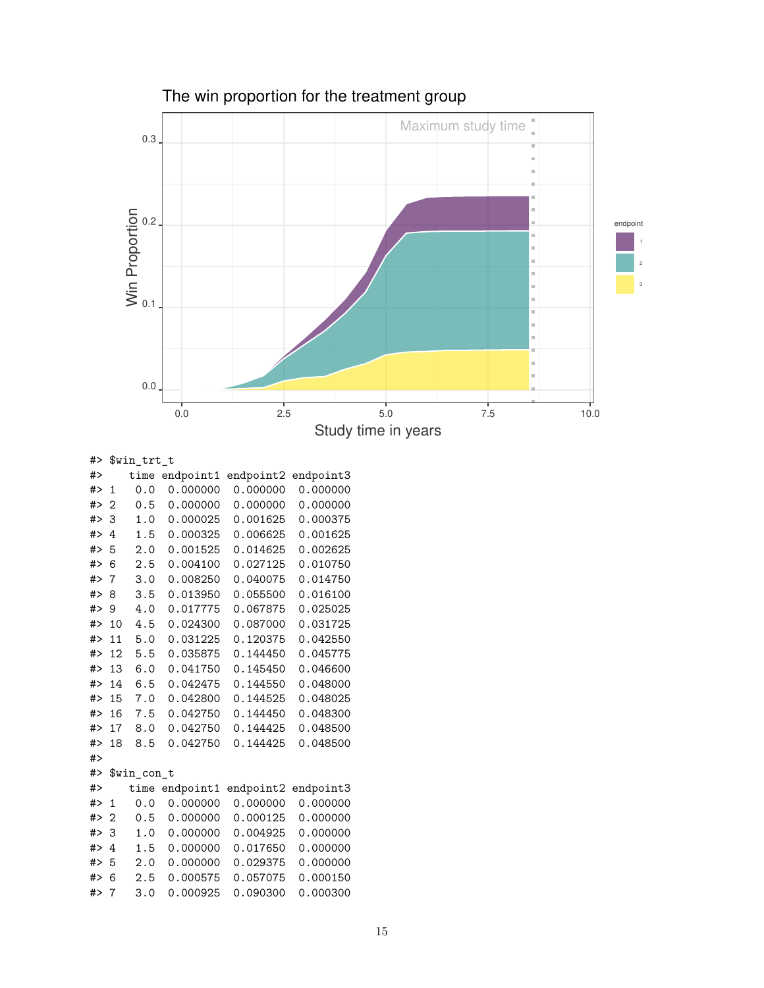

The win proportion for the treatment group

#> \$win\_trt\_t

| #>    |                | time        | endpoint1 | endpoint2 | endpoint3 |
|-------|----------------|-------------|-----------|-----------|-----------|
| #>    | 1              | 0.0         | 0.000000  | 0.000000  | 0.000000  |
| #>    | $\overline{2}$ | 0.5         | 0.000000  | 0.000000  | 0.000000  |
| # $>$ | 3              | 1.0         | 0.000025  | 0.001625  | 0.000375  |
| # $>$ | 4              | 1.5         | 0.000325  | 0.006625  | 0.001625  |
| # $>$ | 5              | 2.0         | 0.001525  | 0.014625  | 0.002625  |
| # $>$ | 6              | 2.5         | 0.004100  | 0.027125  | 0.010750  |
| # $>$ | 7              | 3.0         | 0.008250  | 0.040075  | 0.014750  |
| # $>$ | 8              | 3.5         | 0.013950  | 0.055500  | 0.016100  |
| # $>$ | 9              | 4.0         | 0.017775  | 0.067875  | 0.025025  |
| # $>$ | 10             | 4.5         | 0.024300  | 0.087000  | 0.031725  |
| # $>$ | 11             | 5.0         | 0.031225  | 0.120375  | 0.042550  |
| # $>$ | 12             | 5.5         | 0.035875  | 0.144450  | 0.045775  |
| # $>$ | 13             | 6.0         | 0.041750  | 0.145450  | 0.046600  |
| # $>$ | 14             | 6.5         | 0.042475  | 0.144550  | 0.048000  |
| # $>$ | 15             | 7.0         | 0.042800  | 0.144525  | 0.048025  |
| # $>$ | 16             | 7.5         | 0.042750  | 0.144450  | 0.048300  |
| # $>$ | 17             | 8.0         | 0.042750  | 0.144425  | 0.048500  |
| # $>$ | 18             | 8.5         | 0.042750  | 0.144425  | 0.048500  |
| # $>$ |                |             |           |           |           |
| # $>$ |                | \$win_con_t |           |           |           |
| # $>$ |                | time        | endpoint1 | endpoint2 | endpoint3 |
| # $>$ | $\mathbf{1}$   | 0.0         | 0.000000  | 0.000000  | 0.000000  |
| # $>$ | 2              | 0.5         | 0.000000  | 0.000125  | 0.000000  |
| # $>$ | 3              | 1.0         | 0.000000  | 0.004925  | 0.000000  |
| # $>$ | 4              | 1.5         | 0.000000  | 0.017650  | 0.000000  |
| # $>$ | 5              | 2.0         | 0.000000  | 0.029375  | 0.000000  |
| # $>$ | 6              | 2.5         | 0.000575  | 0.057075  | 0.000150  |
| # $>$ | 7              | 3.0         | 0.000925  | 0.090300  | 0.000300  |
|       |                |             |           |           |           |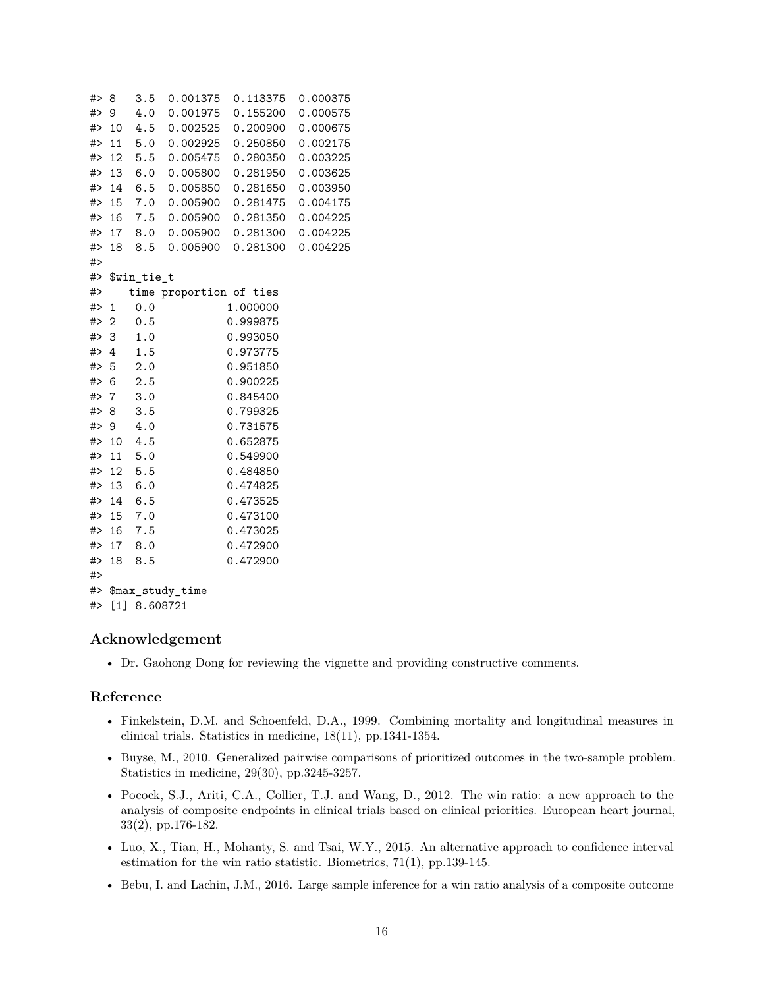```
#> 8 3.5 0.001375 0.113375 0.000375
#> 9 4.0 0.001975 0.155200 0.000575
#> 10 4.5 0.002525 0.200900 0.000675
#> 11 5.0 0.002925 0.250850 0.002175
#> 12 5.5 0.005475 0.280350 0.003225
#> 13 6.0 0.005800 0.281950 0.003625
#> 14 6.5 0.005850 0.281650 0.003950
#> 15 7.0 0.005900 0.281475 0.004175
#> 16 7.5 0.005900 0.281350 0.004225
#> 17 8.0 0.005900 0.281300 0.004225
#> 18 8.5 0.005900 0.281300 0.004225
#>
#> $win_tie_t
#> time proportion of ties
#> 1 0.0 1.000000
#> 2 0.5 0.999875
#> 3 1.0 0.993050
#> 4 1.5 0.973775
#> 5 2.0 0.951850
#> 6 2.5 0.900225
#> 7 3.0 0.845400
#> 8 3.5 0.799325
#> 9 4.0 0.731575
#> 10 4.5 0.652875
#> 11 5.0 0.549900
#> 12 5.5 0.484850
#> 13 6.0 0.474825
#> 14 6.5 0.473525
#> 15 7.0 0.473100
#> 16 7.5 0.473025
#> 17 8.0 0.472900
#> 18 8.5 0.472900
#>
#> $max_study_time
#> [1] 8.608721
```
# **Acknowledgement**

• Dr. Gaohong Dong for reviewing the vignette and providing constructive comments.

# **Reference**

- Finkelstein, D.M. and Schoenfeld, D.A., 1999. Combining mortality and longitudinal measures in clinical trials. Statistics in medicine, 18(11), pp.1341-1354.
- Buyse, M., 2010. Generalized pairwise comparisons of prioritized outcomes in the two-sample problem. Statistics in medicine, 29(30), pp.3245-3257.
- Pocock, S.J., Ariti, C.A., Collier, T.J. and Wang, D., 2012. The win ratio: a new approach to the analysis of composite endpoints in clinical trials based on clinical priorities. European heart journal, 33(2), pp.176-182.
- Luo, X., Tian, H., Mohanty, S. and Tsai, W.Y., 2015. An alternative approach to confidence interval estimation for the win ratio statistic. Biometrics, 71(1), pp.139-145.
- Bebu, I. and Lachin, J.M., 2016. Large sample inference for a win ratio analysis of a composite outcome